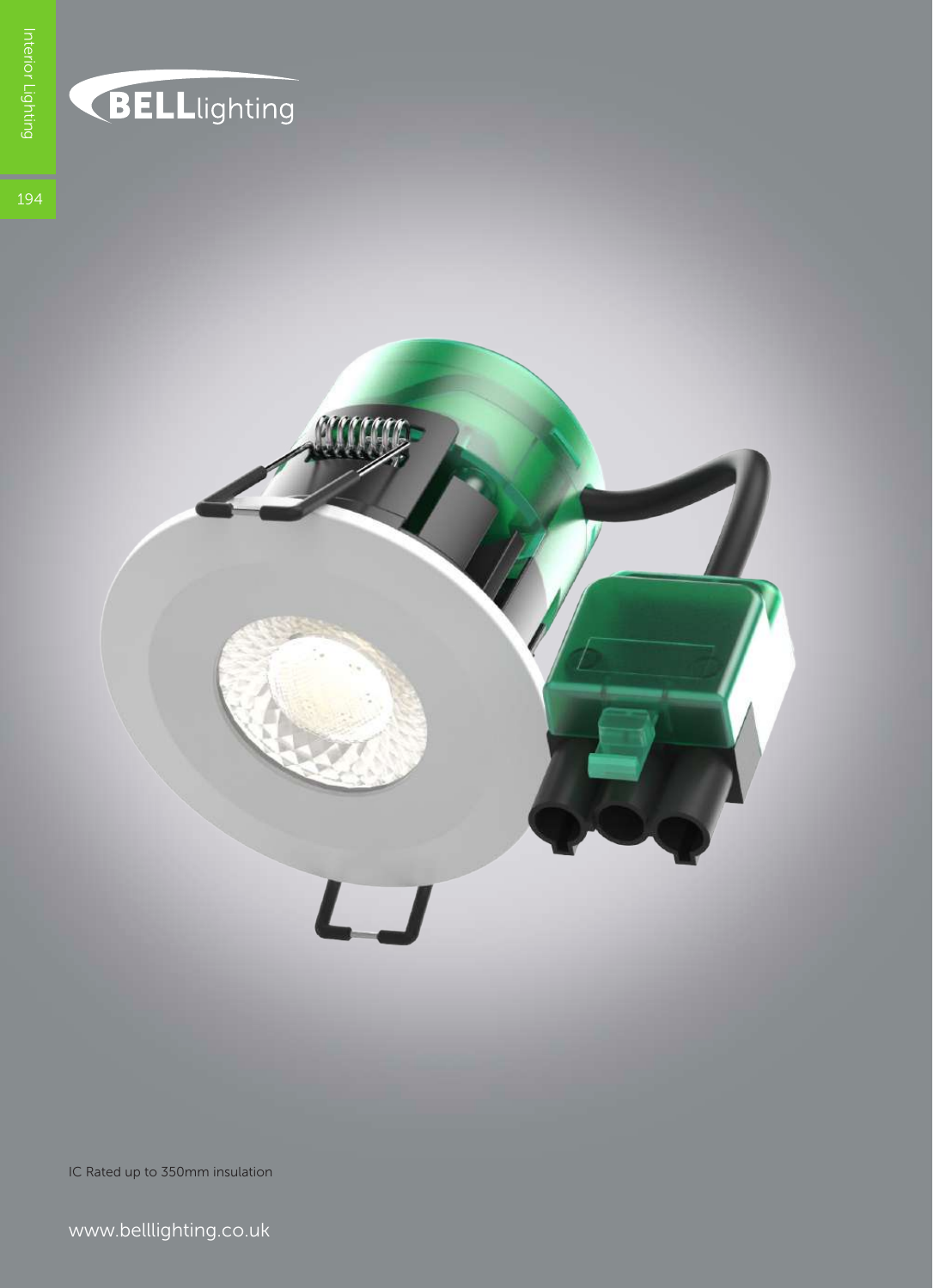

## BELLlighting

**194** 



IC Rated up to 350mm insulation

www.belllighting.co.uk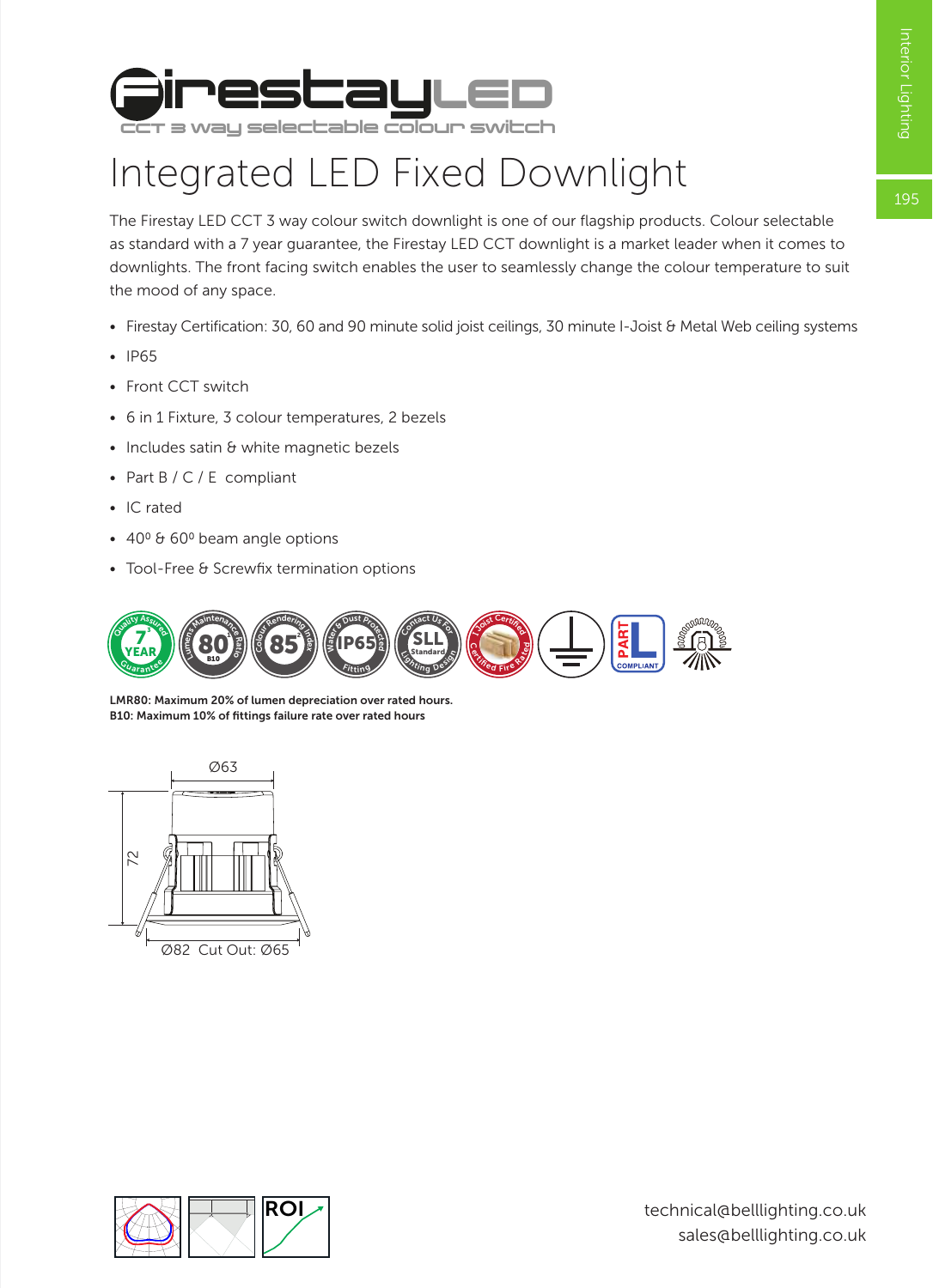195



## Integrated LED Fixed Downlight

The Firestay LED CCT 3 way colour switch downlight is one of our flagship products. Colour selectable as standard with a 7 year guarantee, the Firestay LED CCT downlight is a market leader when it comes to downlights. The front facing switch enables the user to seamlessly change the colour temperature to suit the mood of any space.

- Firestay Certification: 30, 60 and 90 minute solid joist ceilings, 30 minute I-Joist & Metal Web ceiling systems
- IP65
- Front CCT switch
- 6 in 1 Fixture, 3 colour temperatures, 2 bezels
- Includes satin & white magnetic bezels
- Part B / C / E compliant
- IC rated
- $\cdot$  40<sup>0</sup> & 60<sup>0</sup> beam angle options
- Tool-Free & Screwfix termination options



LMR80: Maximum 20% of lumen depreciation over rated hours. B10: Maximum 10% of fittings failure rate over rated hours



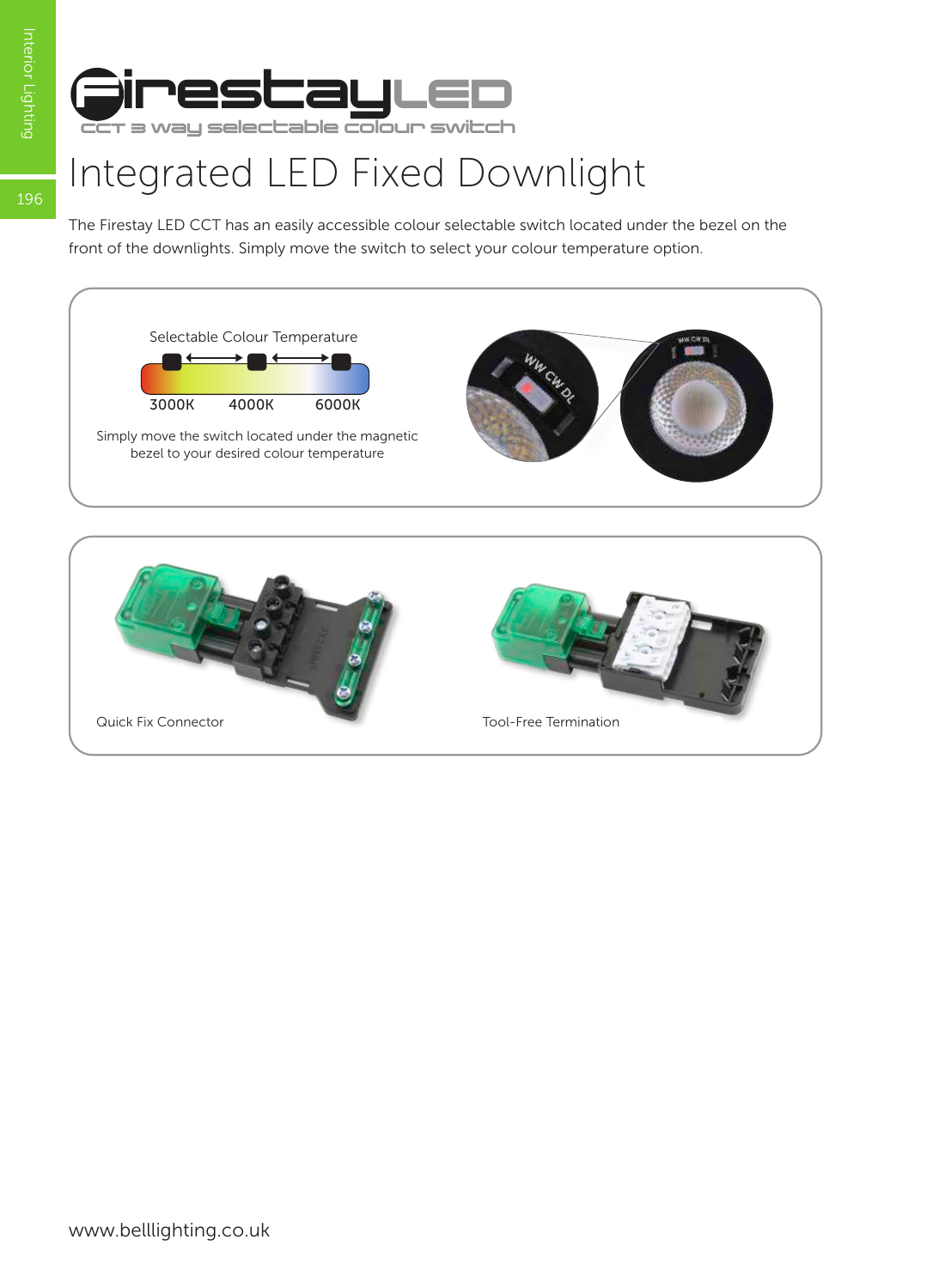196



## Integrated LED Fixed Downlight

The Firestay LED CCT has an easily accessible colour selectable switch located under the bezel on the front of the downlights. Simply move the switch to select your colour temperature option.



www.belllighting.co.uk